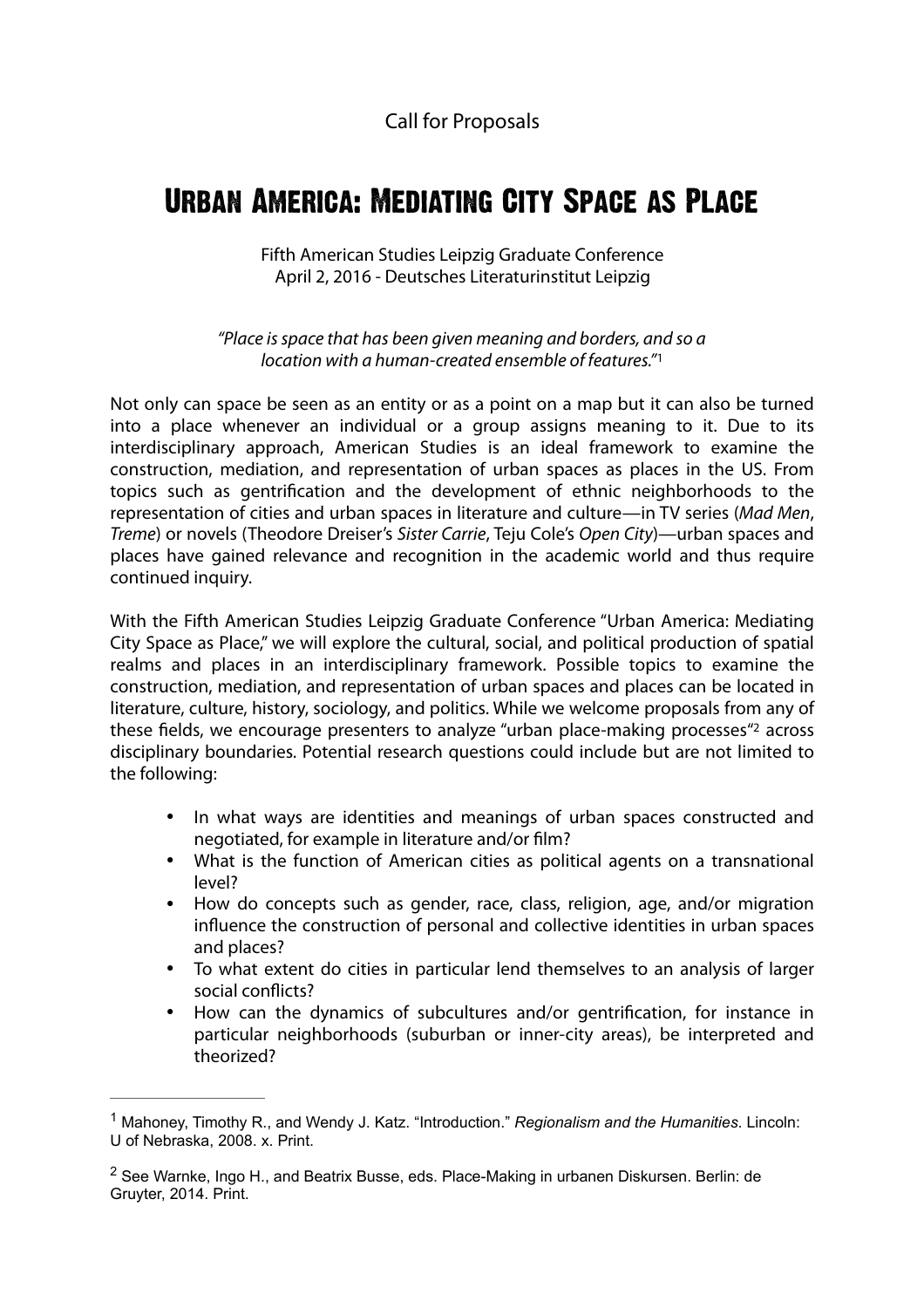<span id="page-0-2"></span>Call for Proposals

## Urban America: Mediating City Space as Place

Fifth American Studies Leipzig Graduate Conference April 2, 2016 - Deutsches Literaturinstitut Leipzig

*"Place is space that has been given meaning and borders, and so a location with a human-created ensemble of features."*[1](#page-0-0)

Not only can space be seen as an entity or as a point on a map but it can also be turned into a place whenever an individual or a group assigns meaning to it. Due to its interdisciplinary approach, American Studies is an ideal framework to examine the construction, mediation, and representation of urban spaces as places in the US. From topics such as gentrification and the development of ethnic neighborhoods to the representation of cities and urban spaces in literature and culture—in TV series (*Mad Men*, *Treme*) or novels (Theodore Dreiser's *Sister Carrie*, Teju Cole's *Open City*)—urban spaces and places have gained relevance and recognition in the academic world and thus require continued inquiry.

With the Fifth American Studies Leipzig Graduate Conference "Urban America: Mediating City Space as Place," we will explore the cultural, social, and political production of spatial realms and places in an interdisciplinary framework. Possible topics to examine the construction, mediation, and representation of urban spaces and places can be located in literature, culture, history, sociology, and politics. While we welcome proposals from any of these fields, we encourage presenters to analyze ["](#page-0-1)urban place-making processes"<sup>[2](#page-0-1)</sup> across disciplinary boundaries. Potential research questions could include but are not limited to the following:

- <span id="page-0-3"></span>• In what ways are identities and meanings of urban spaces constructed and negotiated, for example in literature and/or film?
- What is the function of American cities as political agents on a transnational level?
- How do concepts such as gender, race, class, religion, age, and/or migration influence the construction of personal and collective identities in urban spaces and places?
- To what extent do cities in particular lend themselves to an analysis of larger social conflicts?
- How can the dynamics of subcultures and/or gentrification, for instance in particular neighborhoods (suburban or inner-city areas), be interpreted and theorized?

<span id="page-0-0"></span><sup>&</sup>lt;sup>[1](#page-0-2)</sup> Mahoney, Timothy R., and Wendy J. Katz. "Introduction." *Regionalism and the Humanities*. Lincoln: U of Nebraska, 2008. x. Print.

<span id="page-0-1"></span><sup>&</sup>lt;sup>[2](#page-0-3)</sup> See Warnke, Ingo H., and Beatrix Busse, eds. Place-Making in urbanen Diskursen. Berlin: de Gruyter, 2014. Print.